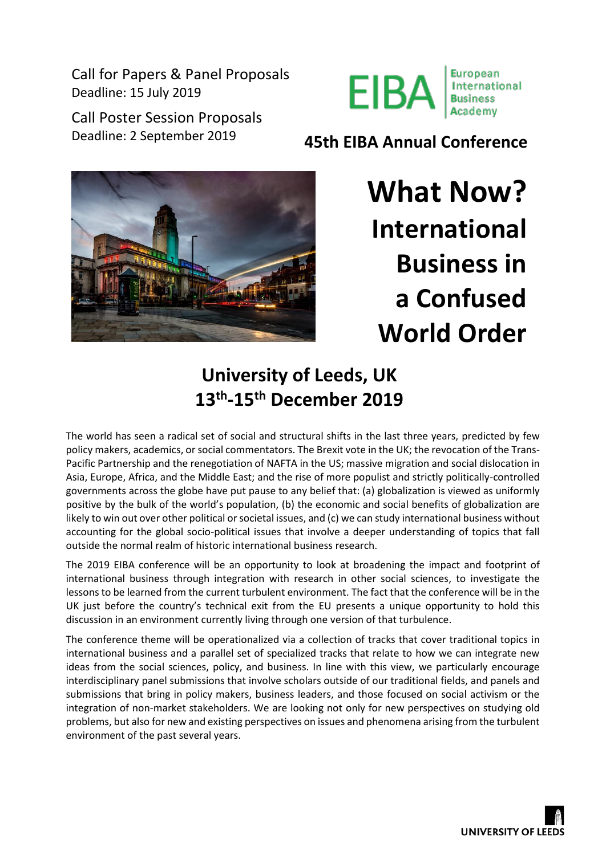Call for Papers & Panel Proposals Deadline: 15 July 2019

Call Poster Session Proposals



Deadline: 2 September 2019 **45th EIBA Annual Conference**



**What Now? International Business in a Confused World Order**

# **University of Leeds, UK 13th -15th December 2019**

The world has seen a radical set of social and structural shifts in the last three years, predicted by few policy makers, academics, or social commentators. The Brexit vote in the UK; the revocation of the Trans-Pacific Partnership and the renegotiation of NAFTA in the US; massive migration and social dislocation in Asia, Europe, Africa, and the Middle East; and the rise of more populist and strictly politically-controlled governments across the globe have put pause to any belief that: (a) globalization is viewed as uniformly positive by the bulk of the world's population, (b) the economic and social benefits of globalization are likely to win out over other political or societal issues, and (c) we can study international business without accounting for the global socio-political issues that involve a deeper understanding of topics that fall outside the normal realm of historic international business research.

The 2019 EIBA conference will be an opportunity to look at broadening the impact and footprint of international business through integration with research in other social sciences, to investigate the lessons to be learned from the current turbulent environment. The fact that the conference will be in the UK just before the country's technical exit from the EU presents a unique opportunity to hold this discussion in an environment currently living through one version of that turbulence.

The conference theme will be operationalized via a collection of tracks that cover traditional topics in international business and a parallel set of specialized tracks that relate to how we can integrate new ideas from the social sciences, policy, and business. In line with this view, we particularly encourage interdisciplinary panel submissions that involve scholars outside of our traditional fields, and panels and submissions that bring in policy makers, business leaders, and those focused on social activism or the integration of non-market stakeholders. We are looking not only for new perspectives on studying old problems, but also for new and existing perspectives on issues and phenomena arising from the turbulent environment of the past several years.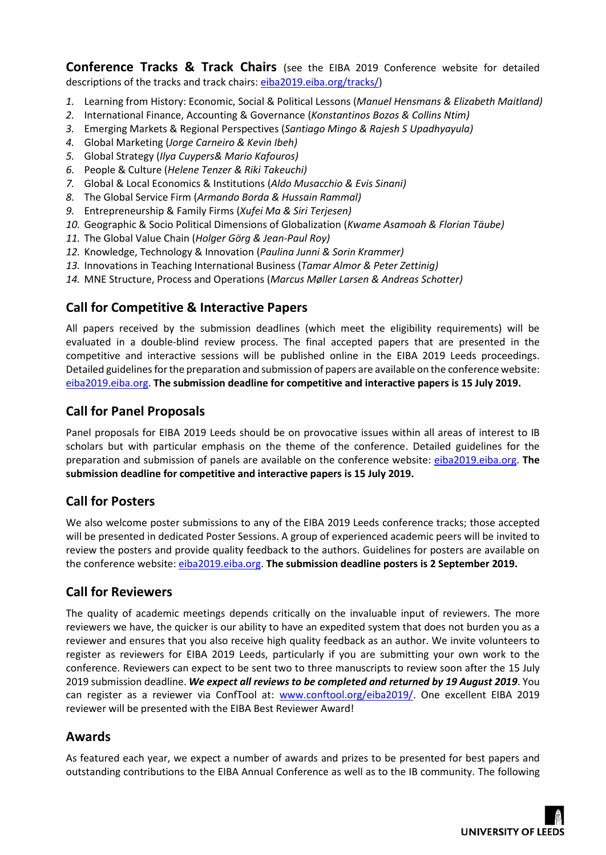**Conference Tracks & Track Chairs** (see the EIBA 2019 Conference website for detailed descriptions of the tracks and track chairs: [eiba2019.eiba.org/tracks/\)](https://eiba2019.eiba.org/tracks/)

- *1.* Learning from History: Economic, Social & Political Lessons (*Manuel Hensmans & Elizabeth Maitland)*
- *2.* International Finance, Accounting & Governance (*Konstantinos Bozos & Collins Ntim)*
- *3.* Emerging Markets & Regional Perspectives (*Santiago Mingo & Rajesh S Upadhyayula)*
- *4.* Global Marketing (*Jorge Carneiro & Kevin Ibeh)*
- *5.* Global Strategy (*Ilya Cuypers& Mario Kafouros)*
- *6.* People & Culture (*Helene Tenzer & Riki Takeuchi)*
- *7.* Global & Local Economics & Institutions (*Aldo Musacchio & Evis Sinani)*
- *8.* The Global Service Firm (*Armando Borda & Hussain Rammal)*
- *9.* Entrepreneurship & Family Firms (*Xufei Ma & Siri Terjesen)*
- *10.* Geographic & Socio Political Dimensions of Globalization (*Kwame Asamoah & Florian Täube)*
- *11.* The Global Value Chain (*Holger Görg & Jean-Paul Roy)*
- *12.* Knowledge, Technology & Innovation (*Paulina Junni & Sorin Krammer)*
- *13.* Innovations in Teaching International Business (*Tamar Almor & Peter Zettinig)*
- *14.* MNE Structure, Process and Operations (*Marcus Møller Larsen & Andreas Schotter)*

## **Call for Competitive & Interactive Papers**

All papers received by the submission deadlines (which meet the eligibility requirements) will be evaluated in a double-blind review process. The final accepted papers that are presented in the competitive and interactive sessions will be published online in the EIBA 2019 Leeds proceedings. Detailed guidelines for the preparation and submission of papers are available on the conference website: [eiba2019.eiba.org.](https://eiba2019.eiba.org/) **The submission deadline for competitive and interactive papers is 15 July 2019.**

#### **Call for Panel Proposals**

Panel proposals for EIBA 2019 Leeds should be on provocative issues within all areas of interest to IB scholars but with particular emphasis on the theme of the conference. Detailed guidelines for the preparation and submission of panels are available on the conference website: [eiba2019.eiba.org.](https://eiba2019.eiba.org/) **The submission deadline for competitive and interactive papers is 15 July 2019.**

## **Call for Posters**

We also welcome poster submissions to any of the EIBA 2019 Leeds conference tracks; those accepted will be presented in dedicated Poster Sessions. A group of experienced academic peers will be invited to review the posters and provide quality feedback to the authors. Guidelines for posters are available on the conference website: [eiba2019.eiba.org.](https://eiba2019.eiba.org/) **The submission deadline posters is 2 September 2019.**

## **Call for Reviewers**

The quality of academic meetings depends critically on the invaluable input of reviewers. The more reviewers we have, the quicker is our ability to have an expedited system that does not burden you as a reviewer and ensures that you also receive high quality feedback as an author. We invite volunteers to register as reviewers for EIBA 2019 Leeds, particularly if you are submitting your own work to the conference. Reviewers can expect to be sent two to three manuscripts to review soon after the 15 July 2019 submission deadline. *We expect all reviews to be completed and returned by 19 August 2019*. You can register as a reviewer via ConfTool at: [www.conftool.org/eiba2019/.](https://www.conftool.org/eiba2019/) One excellent EIBA 2019 reviewer will be presented with the EIBA Best Reviewer Award!

## **Awards**

As featured each year, we expect a number of awards and prizes to be presented for best papers and outstanding contributions to the EIBA Annual Conference as well as to the IB community. The following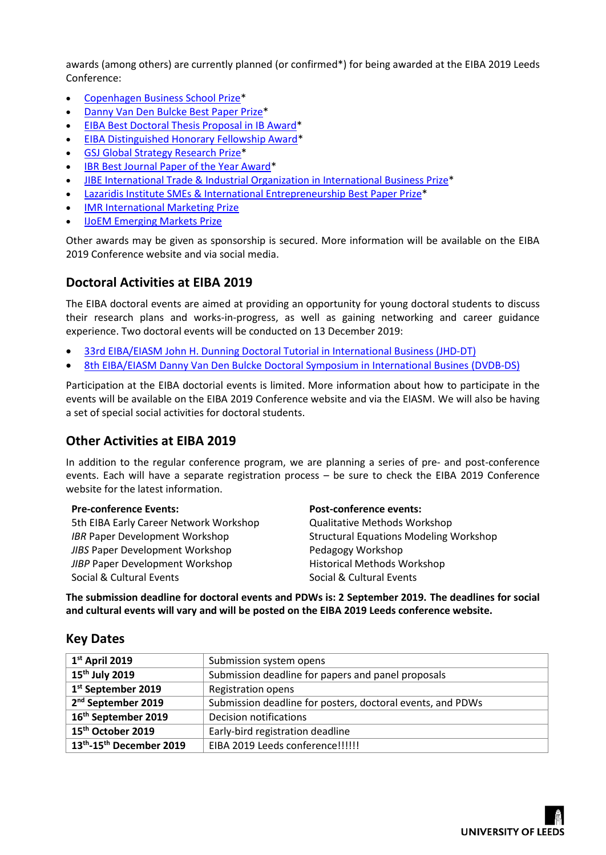awards (among others) are currently planned (or confirmed\*) for being awarded at the EIBA 2019 Leeds Conference:

- [Copenhagen Business School Prize\\*](http://www.eiba.org/cbs-prize)
- [Danny Van Den Bulcke Best Paper Prize\\*](http://www.eiba.org/dvdb-prize)
- [EIBA Best Doctoral Thesis Proposal in IB Award\\*](http://www.eiba.org/doctoral-award)
- [EIBA Distinguished Honorary Fellowship Award\\*](http://www.eiba.org/honorary-fellowship)
- [GSJ Global Strategy Research Prize\\*](http://www.eiba.org/gsj-prize)
- [IBR Best Journal Paper of the Year Award\\*](http://www.eiba.org/ibr-award)
- [JIBE International Trade & Industrial Organization in International Business Prize\\*](http://www.eiba.org/jibe-prize)
- [Lazaridis Institute SMEs & International Entrepreneurship Best Paper Prize\\*](http://www.eiba.org/lazaridis-prize)
- [IMR International Marketing Prize](http://www.eiba.org/imr-prize)
- [IJoEM Emerging Markets Prize](http://www.eiba.org/ijoem-prize)

Other awards may be given as sponsorship is secured. More information will be available on the EIBA 2019 Conference website and via social media.

#### **Doctoral Activities at EIBA 2019**

The EIBA doctoral events are aimed at providing an opportunity for young doctoral students to discuss their research plans and works-in-progress, as well as gaining networking and career guidance experience. Two doctoral events will be conducted on 13 December 2019:

- [33rd EIBA/EIASM John H. Dunning Doctoral Tutorial in International Business \(JHD-DT\)](http://www.eiasm.org/frontoffice/event_announcement.asp?event_id=1415)
- [8th EIBA/EIASM Danny Van Den Bulcke Doctoral Symposium in International Busines](http://www.eiasm.org/frontoffice/event_announcement.asp?event_id=1417) (DVDB-DS)

Participation at the EIBA doctorial events is limited. More information about how to participate in the events will be available on the EIBA 2019 Conference website and via the EIASM. We will also be having a set of special social activities for doctoral students.

## **Other Activities at EIBA 2019**

In addition to the regular conference program, we are planning a series of pre- and post-conference events. Each will have a separate registration process – be sure to check the EIBA 2019 Conference website for the latest information.

#### **Pre-conference Events:**

5th EIBA Early Career Network Workshop **IBR Paper Development Workshop** *JIBS* Paper Development Workshop *JIBP* Paper Development Workshop Social & Cultural Events

#### **Post-conference events:**

Qualitative Methods Workshop Structural Equations Modeling Workshop Pedagogy Workshop Historical Methods Workshop Social & Cultural Events

**The submission deadline for doctoral events and PDWs is: 2 September 2019. The deadlines for social and cultural events will vary and will be posted on the EIBA 2019 Leeds conference website.**

#### **Key Dates**

| $1st$ April 2019                                 | Submission system opens                                    |
|--------------------------------------------------|------------------------------------------------------------|
| 15 <sup>th</sup> July 2019                       | Submission deadline for papers and panel proposals         |
| 1st September 2019                               | <b>Registration opens</b>                                  |
| 2 <sup>nd</sup> September 2019                   | Submission deadline for posters, doctoral events, and PDWs |
| 16 <sup>th</sup> September 2019                  | <b>Decision notifications</b>                              |
| 15 <sup>th</sup> October 2019                    | Early-bird registration deadline                           |
| 13 <sup>th</sup> -15 <sup>th</sup> December 2019 | EIBA 2019 Leeds conference!!!!!!                           |